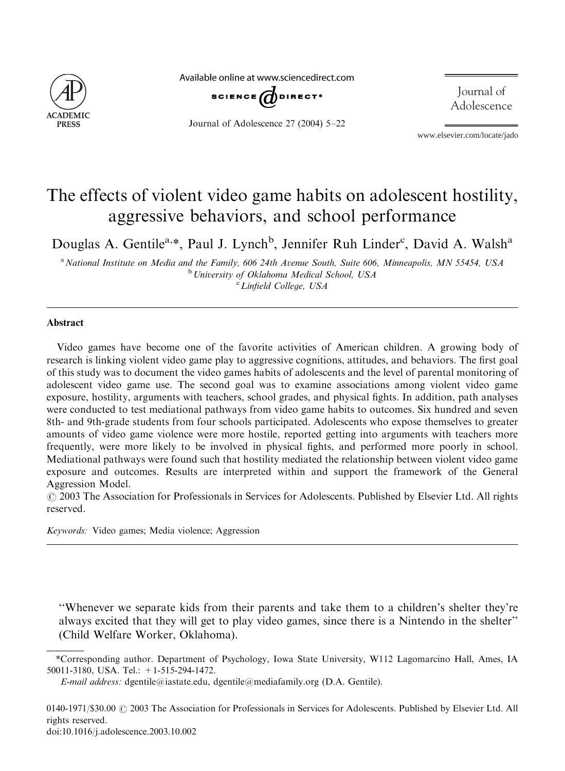

Available online at www.sciencedirect.com



Journal of Adolescence

Journal of Adolescence 27 (2004) 5–22

www.elsevier.com/locate/jado

# The effects of violent video game habits on adolescent hostility, aggressive behaviors, and school performance

Douglas A. Gentile<sup>a,\*</sup>, Paul J. Lynch<sup>b</sup>, Jennifer Ruh Linder<sup>c</sup>, David A. Walsh<sup>a</sup>

<sup>a</sup> National Institute on Media and the Family, 606 24th Avenue South, Suite 606, Minneapolis, MN 55454, USA bUniversity of Oklahoma Medical School, USA  $\degree$  Linfield College, USA

#### Abstract

Video games have become one of the favorite activities of American children. A growing body of research is linking violent video game play to aggressive cognitions, attitudes, and behaviors. The first goal of this study was to document the video games habits of adolescents and the level of parental monitoring of adolescent video game use. The second goal was to examine associations among violent video game exposure, hostility, arguments with teachers, school grades, and physical fights. In addition, path analyses were conducted to test mediational pathways from video game habits to outcomes. Six hundred and seven 8th- and 9th-grade students from four schools participated. Adolescents who expose themselves to greater amounts of video game violence were more hostile, reported getting into arguments with teachers more frequently, were more likely to be involved in physical fights, and performed more poorly in school. Mediational pathways were found such that hostility mediated the relationship between violent video game exposure and outcomes. Results are interpreted within and support the framework of the General Aggression Model.

r 2003 The Association for Professionals in Services for Adolescents. Published by Elsevier Ltd. All rights reserved.

Keywords: Video games; Media violence; Aggression

''Whenever we separate kids from their parents and take them to a children's shelter they're always excited that they will get to play video games, since there is a Nintendo in the shelter'' (Child Welfare Worker, Oklahoma).

<sup>\*</sup>Corresponding author. Department of Psychology, Iowa State University, W112 Lagomarcino Hall, Ames, IA 50011-3180, USA. Tel.: +1-515-294-1472.

E-mail address: dgentile@iastate.edu, dgentile@mediafamily.org (D.A. Gentile).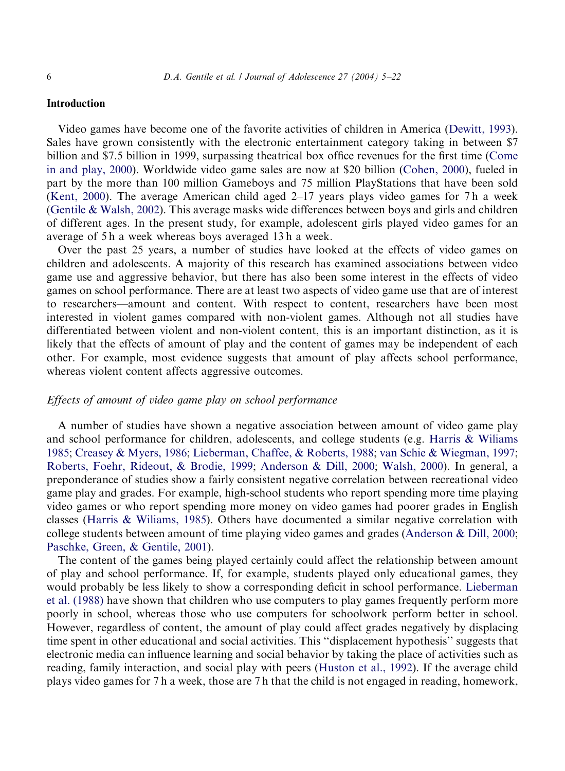#### Introduction

Video games have become one of the favorite activities of children in America [\(Dewitt, 1993](#page-16-0)). Sales have grown consistently with the electronic entertainment category taking in between \$7 billion and \$7.5 billion in 1999, surpassing theatrical box office revenues for the first time [\(Come](#page-16-0) [in and play, 2000](#page-16-0)). Worldwide video game sales are now at \$20 billion [\(Cohen, 2000\)](#page-16-0), fueled in part by the more than 100 million Gameboys and 75 million PlayStations that have been sold [\(Kent, 2000\)](#page-17-0). The average American child aged 2–17 years plays video games for 7 h a week [\(Gentile](#page-17-0) & [Walsh, 2002\)](#page-17-0). This average masks wide differences between boys and girls and children of different ages. In the present study, for example, adolescent girls played video games for an average of 5 h a week whereas boys averaged 13 h a week.

Over the past 25 years, a number of studies have looked at the effects of video games on children and adolescents. A majority of this research has examined associations between video game use and aggressive behavior, but there has also been some interest in the effects of video games on school performance. There are at least two aspects of video game use that are of interest to researchers—amount and content. With respect to content, researchers have been most interested in violent games compared with non-violent games. Although not all studies have differentiated between violent and non-violent content, this is an important distinction, as it is likely that the effects of amount of play and the content of games may be independent of each other. For example, most evidence suggests that amount of play affects school performance, whereas violent content affects aggressive outcomes.

## Effects of amount of video game play on school performance

A number of studies have shown a negative association between amount of video game play and school performance for children, adolescents, and college students (e.g. [Harris & Wiliams](#page-17-0) [1985;](#page-17-0) [Creasey & Myers, 1986](#page-16-0); [Lieberman, Chaffee,](#page-17-0) [& Roberts, 1988](#page-17-0); [van Schie & Wiegman, 1997](#page-17-0); [Roberts, Foehr, Rideout,](#page-17-0) & [Brodie, 1999;](#page-17-0) [Anderson](#page-16-0) & [Dill, 2000](#page-16-0); [Walsh, 2000](#page-17-0)). In general, a preponderance of studies show a fairly consistent negative correlation between recreational video game play and grades. For example, high-school students who report spending more time playing video games or who report spending more money on video games had poorer grades in English classes ([Harris](#page-17-0) & [Wiliams, 1985\)](#page-17-0). Others have documented a similar negative correlation with college students between amount of time playing video games and grades ([Anderson](#page-16-0) & [Dill, 2000](#page-16-0); [Paschke, Green, & Gentile, 2001\)](#page-17-0).

The content of the games being played certainly could affect the relationship between amount of play and school performance. If, for example, students played only educational games, they would probably be less likely to show a corresponding deficit in school performance. [Lieberman](#page-17-0) [et al. \(1988\)](#page-17-0) have shown that children who use computers to play games frequently perform more poorly in school, whereas those who use computers for schoolwork perform better in school. However, regardless of content, the amount of play could affect grades negatively by displacing time spent in other educational and social activities. This ''displacement hypothesis'' suggests that electronic media can influence learning and social behavior by taking the place of activities such as reading, family interaction, and social play with peers ([Huston et al., 1992](#page-17-0)). If the average child plays video games for 7 h a week, those are 7 h that the child is not engaged in reading, homework,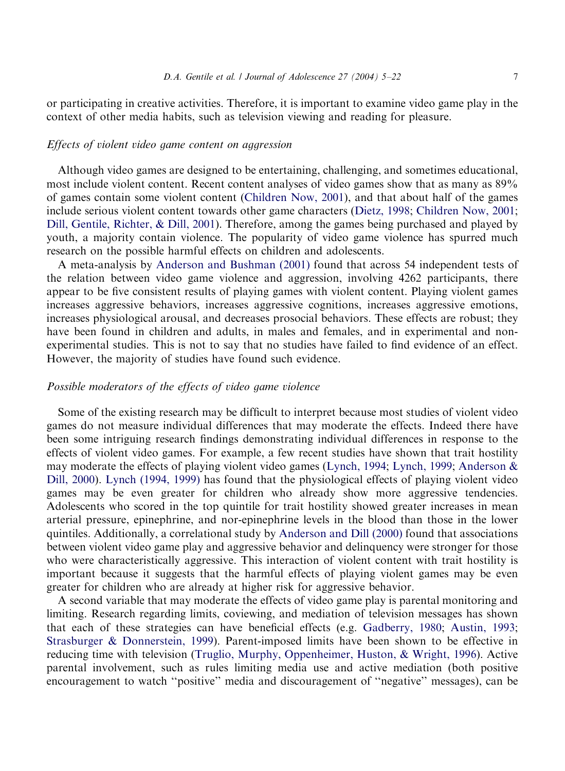or participating in creative activities. Therefore, it is important to examine video game play in the context of other media habits, such as television viewing and reading for pleasure.

## Effects of violent video game content on aggression

Although video games are designed to be entertaining, challenging, and sometimes educational, most include violent content. Recent content analyses of video games show that as many as 89% of games contain some violent content [\(Children Now, 2001\)](#page-16-0), and that about half of the games include serious violent content towards other game characters ([Dietz, 1998;](#page-16-0) [Children Now, 2001](#page-16-0); [Dill, Gentile, Richter,](#page-16-0) [& Dill, 2001](#page-16-0)). Therefore, among the games being purchased and played by youth, a majority contain violence. The popularity of video game violence has spurred much research on the possible harmful effects on children and adolescents.

A meta-analysis by [Anderson and Bushman \(2001\)](#page-16-0) found that across 54 independent tests of the relation between video game violence and aggression, involving 4262 participants, there appear to be five consistent results of playing games with violent content. Playing violent games increases aggressive behaviors, increases aggressive cognitions, increases aggressive emotions, increases physiological arousal, and decreases prosocial behaviors. These effects are robust; they have been found in children and adults, in males and females, and in experimental and nonexperimental studies. This is not to say that no studies have failed to find evidence of an effect. However, the majority of studies have found such evidence.

## Possible moderators of the effects of video game violence

Some of the existing research may be difficult to interpret because most studies of violent video games do not measure individual differences that may moderate the effects. Indeed there have been some intriguing research findings demonstrating individual differences in response to the effects of violent video games. For example, a few recent studies have shown that trait hostility may moderate the effects of playing violent video games ([Lynch, 1994](#page-17-0); [Lynch, 1999;](#page-17-0) [Anderson &](#page-16-0) [Dill, 2000](#page-16-0)). [Lynch \(1994, 1999\)](#page-17-0) has found that the physiological effects of playing violent video games may be even greater for children who already show more aggressive tendencies. Adolescents who scored in the top quintile for trait hostility showed greater increases in mean arterial pressure, epinephrine, and nor-epinephrine levels in the blood than those in the lower quintiles. Additionally, a correlational study by [Anderson and Dill \(2000\)](#page-16-0) found that associations between violent video game play and aggressive behavior and delinquency were stronger for those who were characteristically aggressive. This interaction of violent content with trait hostility is important because it suggests that the harmful effects of playing violent games may be even greater for children who are already at higher risk for aggressive behavior.

A second variable that may moderate the effects of video game play is parental monitoring and limiting. Research regarding limits, coviewing, and mediation of television messages has shown that each of these strategies can have beneficial effects (e.g. [Gadberry, 1980;](#page-17-0) [Austin, 1993](#page-16-0); [Strasburger](#page-17-0) & [Donnerstein, 1999\)](#page-17-0). Parent-imposed limits have been shown to be effective in reducing time with television ([Truglio, Murphy, Oppenheimer, Huston,](#page-17-0) & [Wright, 1996\)](#page-17-0). Active parental involvement, such as rules limiting media use and active mediation (both positive encouragement to watch ''positive'' media and discouragement of ''negative'' messages), can be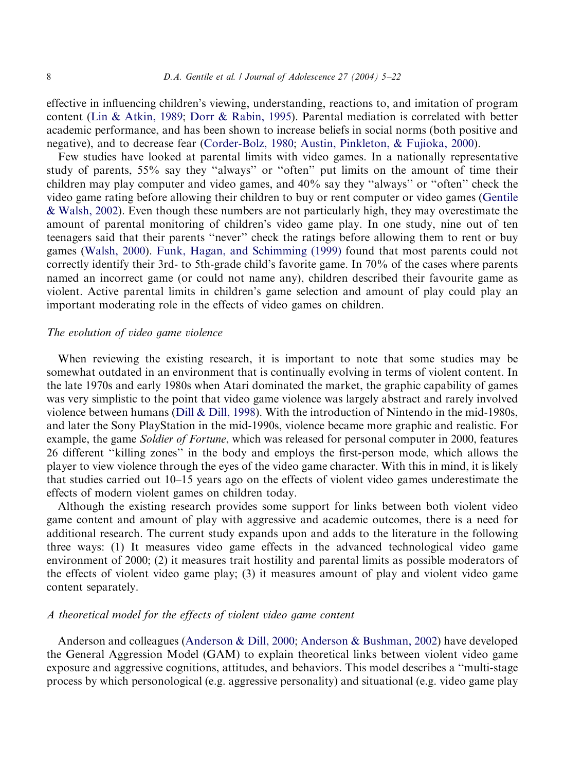effective in influencing children's viewing, understanding, reactions to, and imitation of program content [\(Lin & Atkin, 1989](#page-17-0); [Dorr & Rabin, 1995\)](#page-16-0). Parental mediation is correlated with better academic performance, and has been shown to increase beliefs in social norms (both positive and negative), and to decrease fear [\(Corder-Bolz, 1980;](#page-16-0) [Austin, Pinkleton,](#page-16-0) & [Fujioka, 2000\)](#page-16-0).

Few studies have looked at parental limits with video games. In a nationally representative study of parents, 55% say they ''always'' or ''often'' put limits on the amount of time their children may play computer and video games, and 40% say they ''always'' or ''often'' check the video game rating before allowing their children to buy or rent computer or video games ([Gentile](#page-17-0) [& Walsh, 2002\)](#page-17-0). Even though these numbers are not particularly high, they may overestimate the amount of parental monitoring of children's video game play. In one study, nine out of ten teenagers said that their parents ''never'' check the ratings before allowing them to rent or buy games ([Walsh, 2000](#page-17-0)). [Funk, Hagan, and Schimming \(1999\)](#page-16-0) found that most parents could not correctly identify their 3rd- to 5th-grade child's favorite game. In 70% of the cases where parents named an incorrect game (or could not name any), children described their favourite game as violent. Active parental limits in children's game selection and amount of play could play an important moderating role in the effects of video games on children.

#### The evolution of video game violence

When reviewing the existing research, it is important to note that some studies may be somewhat outdated in an environment that is continually evolving in terms of violent content. In the late 1970s and early 1980s when Atari dominated the market, the graphic capability of games was very simplistic to the point that video game violence was largely abstract and rarely involved violence between humans [\(Dill & Dill, 1998](#page-16-0)). With the introduction of Nintendo in the mid-1980s, and later the Sony PlayStation in the mid-1990s, violence became more graphic and realistic. For example, the game *Soldier of Fortune*, which was released for personal computer in 2000, features 26 different ''killing zones'' in the body and employs the first-person mode, which allows the player to view violence through the eyes of the video game character. With this in mind, it is likely that studies carried out 10–15 years ago on the effects of violent video games underestimate the effects of modern violent games on children today.

Although the existing research provides some support for links between both violent video game content and amount of play with aggressive and academic outcomes, there is a need for additional research. The current study expands upon and adds to the literature in the following three ways: (1) It measures video game effects in the advanced technological video game environment of 2000; (2) it measures trait hostility and parental limits as possible moderators of the effects of violent video game play; (3) it measures amount of play and violent video game content separately.

### A theoretical model for the effects of violent video game content

Anderson and colleagues ([Anderson](#page-16-0) & [Dill, 2000;](#page-16-0) [Anderson](#page-16-0) & [Bushman, 2002](#page-16-0)) have developed the General Aggression Model (GAM) to explain theoretical links between violent video game exposure and aggressive cognitions, attitudes, and behaviors. This model describes a ''multi-stage process by which personological (e.g. aggressive personality) and situational (e.g. video game play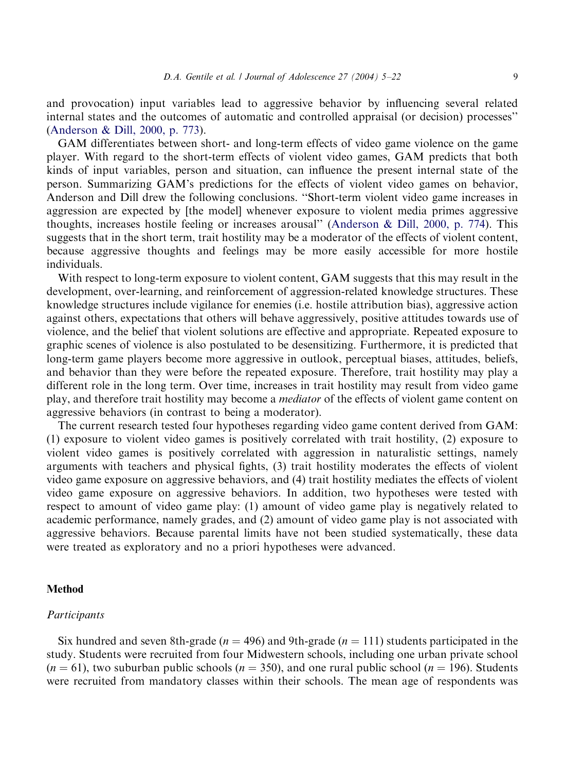and provocation) input variables lead to aggressive behavior by influencing several related internal states and the outcomes of automatic and controlled appraisal (or decision) processes'' [\(Anderson & Dill, 2000, p. 773](#page-16-0)).

GAM differentiates between short- and long-term effects of video game violence on the game player. With regard to the short-term effects of violent video games, GAM predicts that both kinds of input variables, person and situation, can influence the present internal state of the person. Summarizing GAM's predictions for the effects of violent video games on behavior, Anderson and Dill drew the following conclusions. ''Short-term violent video game increases in aggression are expected by [the model] whenever exposure to violent media primes aggressive thoughts, increases hostile feeling or increases arousal'' [\(Anderson & Dill, 2000, p. 774](#page-16-0)). This suggests that in the short term, trait hostility may be a moderator of the effects of violent content, because aggressive thoughts and feelings may be more easily accessible for more hostile individuals.

With respect to long-term exposure to violent content, GAM suggests that this may result in the development, over-learning, and reinforcement of aggression-related knowledge structures. These knowledge structures include vigilance for enemies (i.e. hostile attribution bias), aggressive action against others, expectations that others will behave aggressively, positive attitudes towards use of violence, and the belief that violent solutions are effective and appropriate. Repeated exposure to graphic scenes of violence is also postulated to be desensitizing. Furthermore, it is predicted that long-term game players become more aggressive in outlook, perceptual biases, attitudes, beliefs, and behavior than they were before the repeated exposure. Therefore, trait hostility may play a different role in the long term. Over time, increases in trait hostility may result from video game play, and therefore trait hostility may become a mediator of the effects of violent game content on aggressive behaviors (in contrast to being a moderator).

The current research tested four hypotheses regarding video game content derived from GAM: (1) exposure to violent video games is positively correlated with trait hostility, (2) exposure to violent video games is positively correlated with aggression in naturalistic settings, namely arguments with teachers and physical fights, (3) trait hostility moderates the effects of violent video game exposure on aggressive behaviors, and (4) trait hostility mediates the effects of violent video game exposure on aggressive behaviors. In addition, two hypotheses were tested with respect to amount of video game play: (1) amount of video game play is negatively related to academic performance, namely grades, and (2) amount of video game play is not associated with aggressive behaviors. Because parental limits have not been studied systematically, these data were treated as exploratory and no a priori hypotheses were advanced.

## **Method**

### **Participants**

Six hundred and seven 8th-grade ( $n = 496$ ) and 9th-grade ( $n = 111$ ) students participated in the study. Students were recruited from four Midwestern schools, including one urban private school  $(n = 61)$ , two suburban public schools  $(n = 350)$ , and one rural public school  $(n = 196)$ . Students were recruited from mandatory classes within their schools. The mean age of respondents was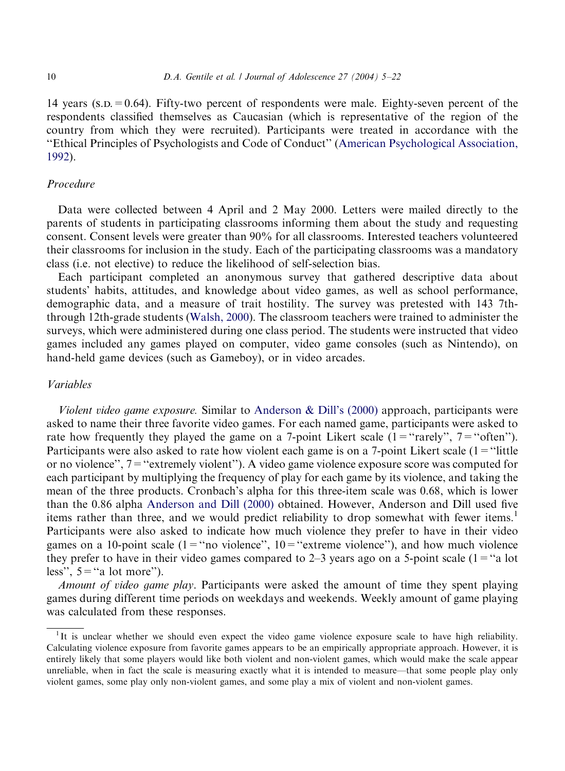14 years (s.d.=0.64). Fifty-two percent of respondents were male. Eighty-seven percent of the respondents classified themselves as Caucasian (which is representative of the region of the country from which they were recruited). Participants were treated in accordance with the ''Ethical Principles of Psychologists and Code of Conduct'' [\(American Psychological Association,](#page-16-0) [1992\)](#page-16-0).

## Procedure

Data were collected between 4 April and 2 May 2000. Letters were mailed directly to the parents of students in participating classrooms informing them about the study and requesting consent. Consent levels were greater than 90% for all classrooms. Interested teachers volunteered their classrooms for inclusion in the study. Each of the participating classrooms was a mandatory class (i.e. not elective) to reduce the likelihood of self-selection bias.

Each participant completed an anonymous survey that gathered descriptive data about students' habits, attitudes, and knowledge about video games, as well as school performance, demographic data, and a measure of trait hostility. The survey was pretested with 143 7ththrough 12th-grade students ([Walsh, 2000\)](#page-17-0). The classroom teachers were trained to administer the surveys, which were administered during one class period. The students were instructed that video games included any games played on computer, video game consoles (such as Nintendo), on hand-held game devices (such as Gameboy), or in video arcades.

#### Variables

Violent video game exposure. Similar to [Anderson](#page-16-0) & [Dill's \(2000\)](#page-16-0) approach, participants were asked to name their three favorite video games. For each named game, participants were asked to rate how frequently they played the game on a 7-point Likert scale  $(1 = "rarely", 7 = "often").$ Participants were also asked to rate how violent each game is on a 7-point Likert scale  $(1 = "little"$ or no violence'', 7=''extremely violent''). A video game violence exposure score was computed for each participant by multiplying the frequency of play for each game by its violence, and taking the mean of the three products. Cronbach's alpha for this three-item scale was 0.68, which is lower than the 0.86 alpha [Anderson and Dill \(2000\)](#page-16-0) obtained. However, Anderson and Dill used five items rather than three, and we would predict reliability to drop somewhat with fewer items.<sup>1</sup> Participants were also asked to indicate how much violence they prefer to have in their video games on a 10-point scale ( $1 =$ "no violence",  $10 =$ "extreme violence"), and how much violence they prefer to have in their video games compared to 2–3 years ago on a 5-point scale  $(1 = "a]$  lot less",  $5 =$ "a lot more").

Amount of video game play. Participants were asked the amount of time they spent playing games during different time periods on weekdays and weekends. Weekly amount of game playing was calculated from these responses.

<sup>&</sup>lt;sup>1</sup>It is unclear whether we should even expect the video game violence exposure scale to have high reliability. Calculating violence exposure from favorite games appears to be an empirically appropriate approach. However, it is entirely likely that some players would like both violent and non-violent games, which would make the scale appear unreliable, when in fact the scale is measuring exactly what it is intended to measure—that some people play only violent games, some play only non-violent games, and some play a mix of violent and non-violent games.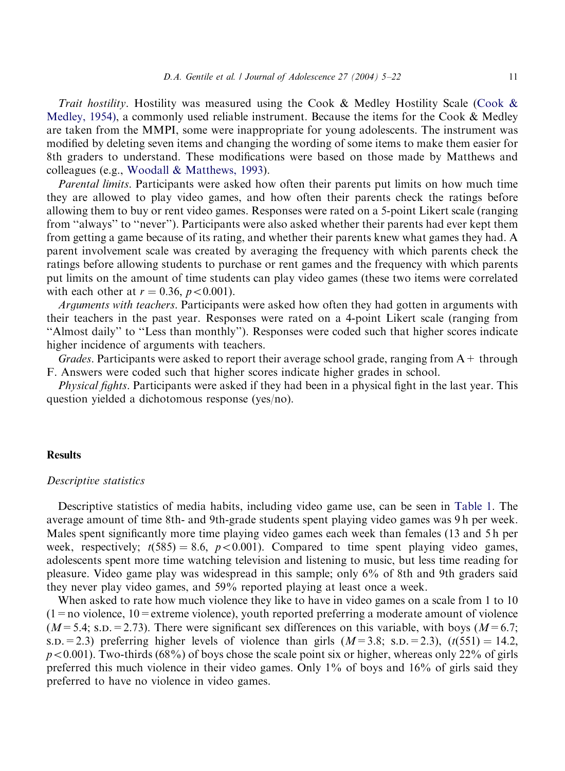Trait hostility. Hostility was measured using the [Cook &](#page-16-0) Medley Hostility Scale (Cook & [Medley, 1954\),](#page-16-0) a commonly used reliable instrument. Because the items for the Cook & Medley are taken from the MMPI, some were inappropriate for young adolescents. The instrument was modified by deleting seven items and changing the wording of some items to make them easier for 8th graders to understand. These modifications were based on those made by Matthews and colleagues (e.g., [Woodall & Matthews, 1993\)](#page-17-0).

Parental limits. Participants were asked how often their parents put limits on how much time they are allowed to play video games, and how often their parents check the ratings before allowing them to buy or rent video games. Responses were rated on a 5-point Likert scale (ranging from "always" to "never"). Participants were also asked whether their parents had ever kept them from getting a game because of its rating, and whether their parents knew what games they had. A parent involvement scale was created by averaging the frequency with which parents check the ratings before allowing students to purchase or rent games and the frequency with which parents put limits on the amount of time students can play video games (these two items were correlated with each other at  $r = 0.36$ ,  $p < 0.001$ ).

Arguments with teachers. Participants were asked how often they had gotten in arguments with their teachers in the past year. Responses were rated on a 4-point Likert scale (ranging from ''Almost daily'' to ''Less than monthly''). Responses were coded such that higher scores indicate higher incidence of arguments with teachers.

Grades. Participants were asked to report their average school grade, ranging from  $A+$  through F. Answers were coded such that higher scores indicate higher grades in school.

Physical fights. Participants were asked if they had been in a physical fight in the last year. This question yielded a dichotomous response (yes/no).

#### **Results**

#### Descriptive statistics

Descriptive statistics of media habits, including video game use, can be seen in [Table 1.](#page-7-0) The average amount of time 8th- and 9th-grade students spent playing video games was 9 h per week. Males spent significantly more time playing video games each week than females (13 and 5 h per week, respectively;  $t(585) = 8.6$ ,  $p < 0.001$ ). Compared to time spent playing video games, adolescents spent more time watching television and listening to music, but less time reading for pleasure. Video game play was widespread in this sample; only 6% of 8th and 9th graders said they never play video games, and 59% reported playing at least once a week.

When asked to rate how much violence they like to have in video games on a scale from 1 to 10  $(1 = no$  violence,  $10 =$  extreme violence), youth reported preferring a moderate amount of violence ( $M=5.4$ ; s.d. = 2.73). There were significant sex differences on this variable, with boys ( $M=6.7$ ; s.d. = 2.3) preferring higher levels of violence than girls  $(M=3.8;$  s.d. = 2.3),  $(t(551) = 14.2;$  $p<0.001$ ). Two-thirds (68%) of boys chose the scale point six or higher, whereas only 22% of girls preferred this much violence in their video games. Only 1% of boys and 16% of girls said they preferred to have no violence in video games.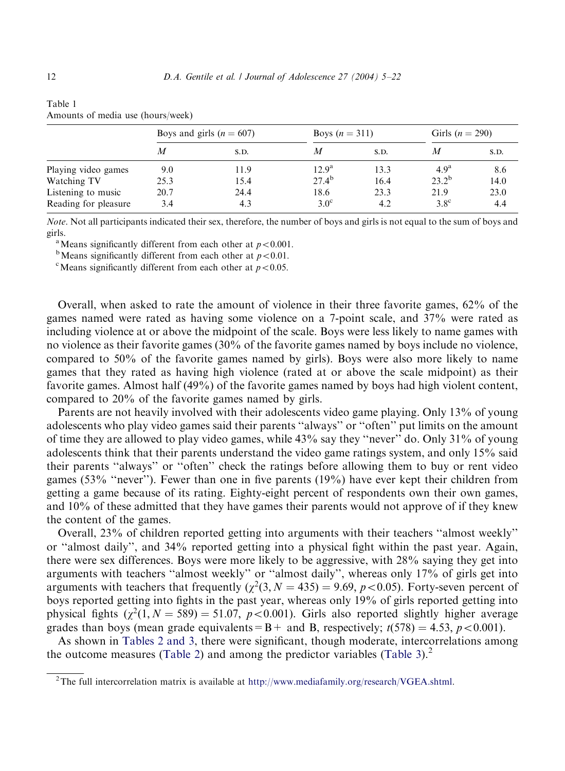|                      | Boys and girls ( $n = 607$ ) |      | Boys $(n = 311)$ |      | Girls $(n = 290)$ |      |
|----------------------|------------------------------|------|------------------|------|-------------------|------|
|                      | M                            | S.D. | M                | S.D. | M                 | S.D. |
| Playing video games  | 9.0                          | 11.9 | $12.9^{\rm a}$   | 13.3 | 4.9 <sup>a</sup>  | 8.6  |
| Watching TV          | 25.3                         | 15.4 | $27.4^{b}$       | 16.4 | $23.2^{b}$        | 14.0 |
| Listening to music   | 20.7                         | 24.4 | 18.6             | 23.3 | 21.9              | 23.0 |
| Reading for pleasure | 3.4                          | 4.3  | $3.0^\circ$      | 4.2  | $3.8^\circ$       | 4.4  |

<span id="page-7-0"></span>

| Table 1                           |  |
|-----------------------------------|--|
| Amounts of media use (hours/week) |  |

Note. Not all participants indicated their sex, therefore, the number of boys and girls is not equal to the sum of boys and

girls.<br><sup>a</sup>Means significantly different from each other at  $p < 0.001$ .<br><sup>b</sup>Means significantly different from each other at  $p < 0.01$ .

<sup>c</sup>Means significantly different from each other at  $p < 0.05$ .

Overall, when asked to rate the amount of violence in their three favorite games, 62% of the games named were rated as having some violence on a 7-point scale, and 37% were rated as including violence at or above the midpoint of the scale. Boys were less likely to name games with no violence as their favorite games (30% of the favorite games named by boys include no violence, compared to 50% of the favorite games named by girls). Boys were also more likely to name games that they rated as having high violence (rated at or above the scale midpoint) as their favorite games. Almost half (49%) of the favorite games named by boys had high violent content, compared to 20% of the favorite games named by girls.

Parents are not heavily involved with their adolescents video game playing. Only 13% of young adolescents who play video games said their parents ''always'' or ''often'' put limits on the amount of time they are allowed to play video games, while 43% say they ''never'' do. Only 31% of young adolescents think that their parents understand the video game ratings system, and only 15% said their parents ''always'' or ''often'' check the ratings before allowing them to buy or rent video games (53% ''never''). Fewer than one in five parents (19%) have ever kept their children from getting a game because of its rating. Eighty-eight percent of respondents own their own games, and 10% of these admitted that they have games their parents would not approve of if they knew the content of the games.

Overall, 23% of children reported getting into arguments with their teachers ''almost weekly'' or ''almost daily'', and 34% reported getting into a physical fight within the past year. Again, there were sex differences. Boys were more likely to be aggressive, with 28% saying they get into arguments with teachers ''almost weekly'' or ''almost daily'', whereas only 17% of girls get into arguments with teachers that frequently  $(\chi^2(3, N = 435) = 9.69, p < 0.05)$ . Forty-seven percent of boys reported getting into fights in the past year, whereas only 19% of girls reported getting into physical fights  $(\chi^2(1, N = 589) = 51.07, p < 0.001)$ . Girls also reported slightly higher average grades than boys (mean grade equivalents = B + and B, respectively;  $t(578) = 4.53$ ,  $p < 0.001$ ).

As shown in [Tables 2 and 3](#page-8-0), there were significant, though moderate, intercorrelations among the outcome measures [\(Table 2\)](#page-8-0) and among the predictor variables [\(Table 3](#page-8-0)).<sup>2</sup>

<sup>&</sup>lt;sup>2</sup>The full intercorrelation matrix is available at [http://www.mediafamily.org/research/VGEA.shtml.](http://www.mediafamily.org/research/VGEA.shtml)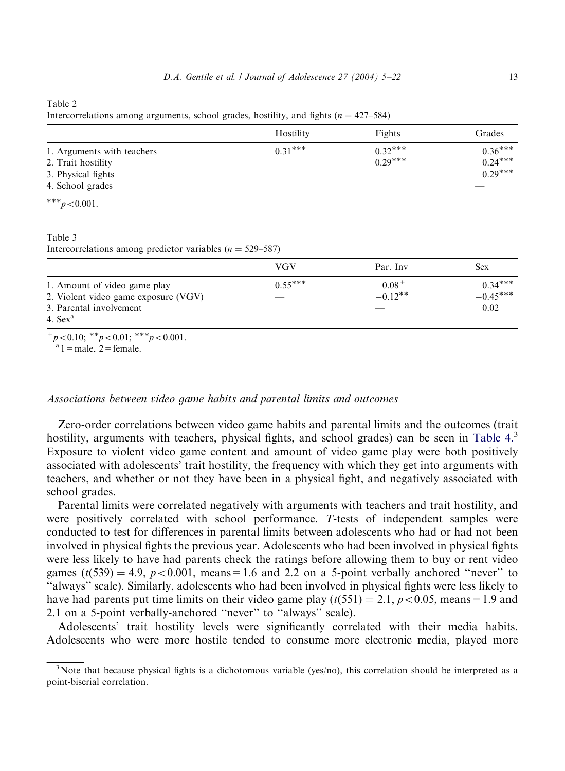| Intercorrelations among arguments, school grades, hostility, and fights $(n = 427-584)$ |           |           |            |  |  |  |
|-----------------------------------------------------------------------------------------|-----------|-----------|------------|--|--|--|
|                                                                                         | Hostility | Fights    | Grades     |  |  |  |
| 1. Arguments with teachers                                                              | $0.31***$ | $0.32***$ | $-0.36***$ |  |  |  |
| 2. Trait hostility                                                                      | ___       | $0.29***$ | $-0.24***$ |  |  |  |
| 3. Physical fights                                                                      |           |           | $-0.29***$ |  |  |  |

<span id="page-8-0"></span>Table 2 Intercorrelations among arguments, school grades, hostility, and fights ( $n = 427-584$ )

\*\*\* $p < 0.001$ .

4. School grades

#### Table 3 Intercorrelations among predictor variables ( $n = 529-587$ )

|                                      | <b>VGV</b> | Par. Inv   | <b>Sex</b>               |
|--------------------------------------|------------|------------|--------------------------|
| 1. Amount of video game play         | $0.55***$  | $-0.08 +$  | $-0.34***$               |
| 2. Violent video game exposure (VGV) |            | $-0.12***$ | $-0.45***$               |
| 3. Parental involvement              |            | __         | 0.02                     |
| 4. $Sex^a$                           |            |            | $\overline{\phantom{a}}$ |

 $p < 0.10$ ; \*\* $p < 0.01$ ; \*\*\* $p < 0.001$ .<br><sup>a</sup> 1 = male, 2 = female.

## Associations between video game habits and parental limits and outcomes

Zero-order correlations between video game habits and parental limits and the outcomes (trait hostility, arguments with teachers, physical fights, and school grades) can be seen in Table  $4<sup>3</sup>$ Exposure to violent video game content and amount of video game play were both positively associated with adolescents' trait hostility, the frequency with which they get into arguments with teachers, and whether or not they have been in a physical fight, and negatively associated with school grades.

Parental limits were correlated negatively with arguments with teachers and trait hostility, and were positively correlated with school performance. T-tests of independent samples were conducted to test for differences in parental limits between adolescents who had or had not been involved in physical fights the previous year. Adolescents who had been involved in physical fights were less likely to have had parents check the ratings before allowing them to buy or rent video games  $(t(539) = 4.9, p < 0.001$ , means = 1.6 and 2.2 on a 5-point verbally anchored "never" to ''always'' scale). Similarly, adolescents who had been involved in physical fights were less likely to have had parents put time limits on their video game play  $(t(551) = 2.1, p < 0.05$ , means = 1.9 and 2.1 on a 5-point verbally-anchored ''never'' to ''always'' scale).

Adolescents' trait hostility levels were significantly correlated with their media habits. Adolescents who were more hostile tended to consume more electronic media, played more

 $3$ Note that because physical fights is a dichotomous variable (yes/no), this correlation should be interpreted as a point-biserial correlation.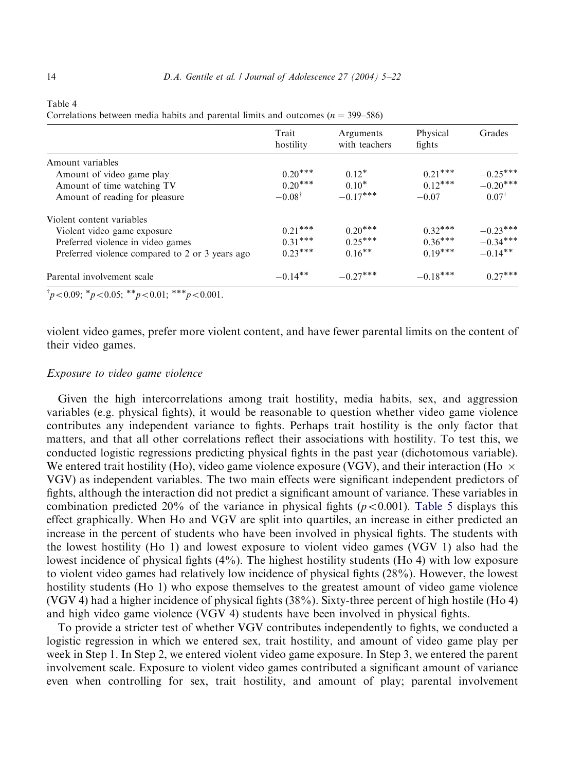|                                                 | Trait<br>hostility | Arguments<br>with teachers | Physical<br>fights | Grades           |
|-------------------------------------------------|--------------------|----------------------------|--------------------|------------------|
| Amount variables                                |                    |                            |                    |                  |
| Amount of video game play                       | $0.20***$          | $0.12*$                    | $0.21***$          | $-0.25***$       |
| Amount of time watching TV                      | $0.20***$          | $0.10*$                    | $0.12***$          | $-0.20***$       |
| Amount of reading for pleasure                  | $-0.08^{\dagger}$  | $-0.17***$                 | $-0.07$            | $0.07^{\dagger}$ |
| Violent content variables                       |                    |                            |                    |                  |
| Violent video game exposure                     | $0.21***$          | $0.20***$                  | $0.32***$          | $-0.23***$       |
| Preferred violence in video games               | $0.31***$          | $0.25***$                  | $0.36***$          | $-0.34***$       |
| Preferred violence compared to 2 or 3 years ago | $0.23***$          | $0.16***$                  | $0.19***$          | $-0.14***$       |
| Parental involvement scale                      | $-0.14***$         | $-0.27***$                 | $-0.18***$         | $0.27***$        |
|                                                 |                    |                            |                    |                  |

<span id="page-9-0"></span>Table 4

Correlations between media habits and parental limits and outcomes ( $n = 399-586$ )

 $\phi^{\dagger} p < 0.09; \, \phi^* p < 0.05; \, \phi^* p < 0.01; \, \phi^* p < 0.001.$ 

violent video games, prefer more violent content, and have fewer parental limits on the content of their video games.

#### Exposure to video game violence

Given the high intercorrelations among trait hostility, media habits, sex, and aggression variables (e.g. physical fights), it would be reasonable to question whether video game violence contributes any independent variance to fights. Perhaps trait hostility is the only factor that matters, and that all other correlations reflect their associations with hostility. To test this, we conducted logistic regressions predicting physical fights in the past year (dichotomous variable). We entered trait hostility (Ho), video game violence exposure (VGV), and their interaction (Ho  $\times$ VGV) as independent variables. The two main effects were significant independent predictors of fights, although the interaction did not predict a significant amount of variance. These variables in combination predicted 20% of the variance in physical fights ( $p < 0.001$ ). [Table 5](#page-10-0) displays this effect graphically. When Ho and VGV are split into quartiles, an increase in either predicted an increase in the percent of students who have been involved in physical fights. The students with the lowest hostility (Ho 1) and lowest exposure to violent video games (VGV 1) also had the lowest incidence of physical fights (4%). The highest hostility students (Ho 4) with low exposure to violent video games had relatively low incidence of physical fights (28%). However, the lowest hostility students (Ho 1) who expose themselves to the greatest amount of video game violence (VGV 4) had a higher incidence of physical fights (38%). Sixty-three percent of high hostile (Ho 4) and high video game violence (VGV 4) students have been involved in physical fights.

To provide a stricter test of whether VGV contributes independently to fights, we conducted a logistic regression in which we entered sex, trait hostility, and amount of video game play per week in Step 1. In Step 2, we entered violent video game exposure. In Step 3, we entered the parent involvement scale. Exposure to violent video games contributed a significant amount of variance even when controlling for sex, trait hostility, and amount of play; parental involvement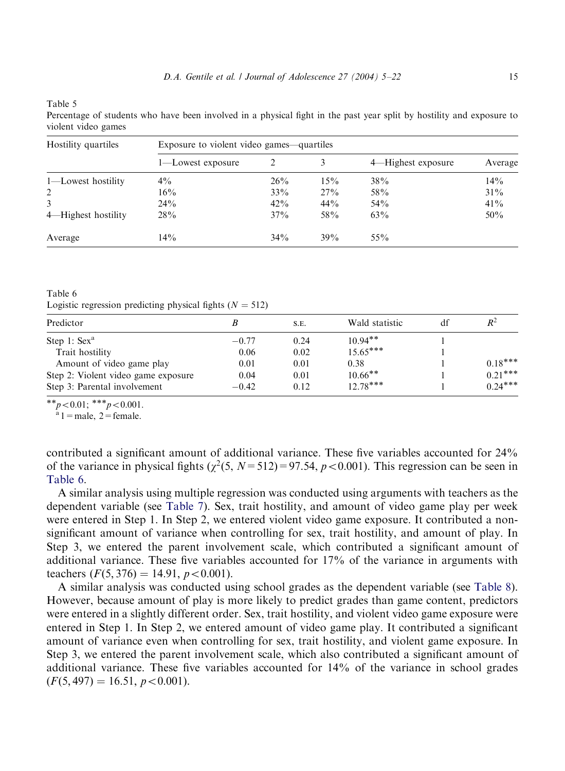<span id="page-10-0"></span>Table 5

Percentage of students who have been involved in a physical fight in the past year split by hostility and exposure to violent video games

| Hostility quartiles | Exposure to violent video games—quartiles |     |     |                    |         |  |  |
|---------------------|-------------------------------------------|-----|-----|--------------------|---------|--|--|
|                     | 1—Lowest exposure                         |     | 3   | 4—Highest exposure | Average |  |  |
| 1—Lowest hostility  | $4\%$                                     | 26% | 15% | 38%                | 14%     |  |  |
| 2                   | 16%                                       | 33% | 27% | 58%                | $31\%$  |  |  |
|                     | 24%                                       | 42% | 44% | 54%                | 41%     |  |  |
| 4—Highest hostility | 28%                                       | 37% | 58% | 63%                | 50%     |  |  |
| Average             | 14%                                       | 34% | 39% | $55\%$             |         |  |  |
|                     |                                           |     |     |                    |         |  |  |

Table 6

Logistic regression predicting physical fights ( $N = 512$ )

| Predictor                           |         | S.E. | Wald statistic | $R^2$     |
|-------------------------------------|---------|------|----------------|-----------|
| Step 1: $Sex^a$                     | $-0.77$ | 0.24 | $10.94**$      |           |
| Trait hostility                     | 0.06    | 0.02 | $15.65***$     |           |
| Amount of video game play           | 0.01    | 0.01 | 0.38           | $0.18***$ |
| Step 2: Violent video game exposure | 0.04    | 0.01 | $10.66$ **     | $0.21***$ |
| Step 3: Parental involvement        | $-0.42$ | 0.12 | $12.78***$     | $0.24***$ |

\*\* $p < 0.01$ ; \*\*\* $p < 0.001$ .<br><sup>a</sup> 1 = male, 2 = female.

contributed a significant amount of additional variance. These five variables accounted for 24% of the variance in physical fights ( $\chi^2$ (5, N=512)=97.54, p<0.001). This regression can be seen in Table 6.

A similar analysis using multiple regression was conducted using arguments with teachers as the dependent variable (see [Table 7](#page-11-0)). Sex, trait hostility, and amount of video game play per week were entered in Step 1. In Step 2, we entered violent video game exposure. It contributed a nonsignificant amount of variance when controlling for sex, trait hostility, and amount of play. In Step3, we entered the parent involvement scale, which contributed a significant amount of additional variance. These five variables accounted for 17% of the variance in arguments with teachers  $(F(5, 376) = 14.91, p < 0.001)$ .

A similar analysis was conducted using school grades as the dependent variable (see [Table 8](#page-11-0)). However, because amount of play is more likely to predict grades than game content, predictors were entered in a slightly different order. Sex, trait hostility, and violent video game exposure were entered in Step 1. In Step 2, we entered amount of video game play. It contributed a significant amount of variance even when controlling for sex, trait hostility, and violent game exposure. In Step 3, we entered the parent involvement scale, which also contributed a significant amount of additional variance. These five variables accounted for 14% of the variance in school grades  $(F(5, 497) = 16.51, p < 0.001)$ .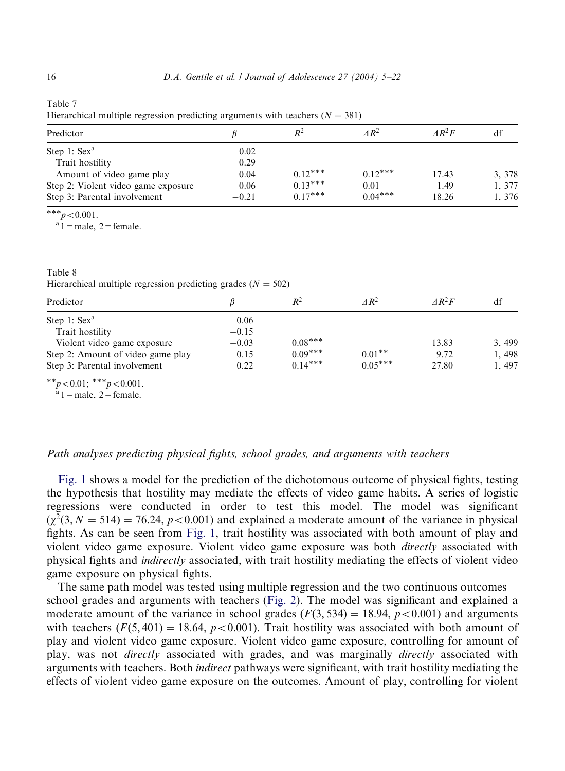#### <span id="page-11-0"></span>Table 7

Hierarchical multiple regression predicting arguments with teachers ( $N = 381$ )

|         | $R^2$     | $AR^2$    | $AR^2F$ | df     |
|---------|-----------|-----------|---------|--------|
| $-0.02$ |           |           |         |        |
| 0.29    |           |           |         |        |
| 0.04    | $0.12***$ | $0.12***$ | 17.43   | 3, 378 |
| 0.06    | $0.13***$ | 0.01      | 1.49    | 1, 377 |
| $-0.21$ | $0.17***$ | $0.04***$ | 18.26   | 1,376  |
|         |           |           |         |        |

\*\*\* $p < 0.001$ .<br><sup>a</sup> 1 = male, 2 = female.

Table 8 Hierarchical multiple regression predicting grades ( $N = 502$ )

| Predictor                         |         | $R^2$     | $AR^2$    | $AR^2F$ | df     |
|-----------------------------------|---------|-----------|-----------|---------|--------|
| Step 1: $Sex^a$                   | 0.06    |           |           |         |        |
| Trait hostility                   | $-0.15$ |           |           |         |        |
| Violent video game exposure       | $-0.03$ | $0.08***$ |           | 13.83   | 3, 499 |
| Step 2: Amount of video game play | $-0.15$ | $0.09***$ | $0.01**$  | 9.72    | 1, 498 |
| Step 3: Parental involvement      | 0.22    | $0.14***$ | $0.05***$ | 27.80   | 1, 497 |

\*\* $p < 0.01$ ; \*\*\* $p < 0.001$ .<br><sup>a</sup> 1 = male, 2 = female.

#### Path analyses predicting physical fights, school grades, and arguments with teachers

[Fig. 1](#page-12-0) shows a model for the prediction of the dichotomous outcome of physical fights, testing the hypothesis that hostility may mediate the effects of video game habits. A series of logistic regressions were conducted in order to test this model. The model was significant  $(\chi^2(3, N = 514) = 76.24, p < 0.001)$  and explained a moderate amount of the variance in physical fights. As can be seen from [Fig. 1,](#page-12-0) trait hostility was associated with both amount of play and violent video game exposure. Violent video game exposure was both *directly* associated with physical fights and indirectly associated, with trait hostility mediating the effects of violent video game exposure on physical fights.

The same path model was tested using multiple regression and the two continuous outcomes school grades and arguments with teachers [\(Fig. 2](#page-12-0)). The model was significant and explained a moderate amount of the variance in school grades  $(F(3, 534) = 18.94, p < 0.001)$  and arguments with teachers  $(F(5, 401) = 18.64, p < 0.001)$ . Trait hostility was associated with both amount of play and violent video game exposure. Violent video game exposure, controlling for amount of play, was not *directly* associated with grades, and was marginally *directly* associated with arguments with teachers. Both indirect pathways were significant, with trait hostility mediating the effects of violent video game exposure on the outcomes. Amount of play, controlling for violent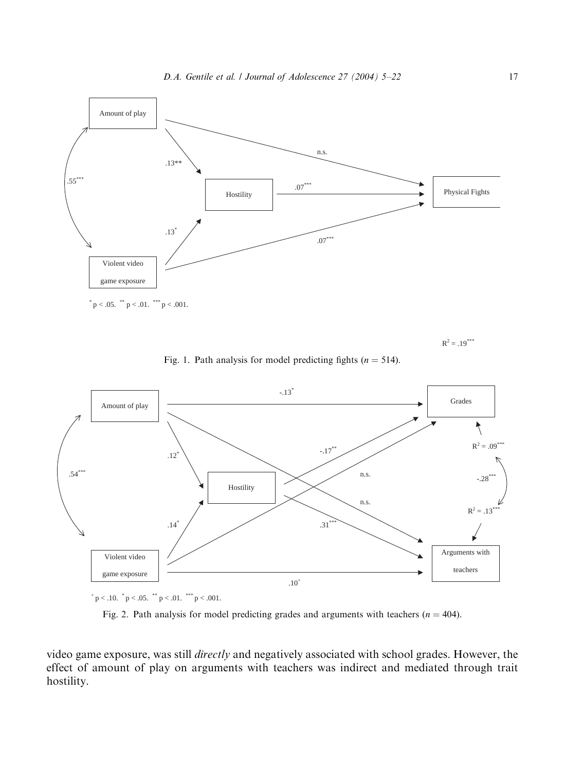<span id="page-12-0"></span>

 $R^2 = .19$ \*\*\*

Fig. 1. Path analysis for model predicting fights ( $n = 514$ ).



Fig. 2. Path analysis for model predicting grades and arguments with teachers ( $n = 404$ ).

video game exposure, was still directly and negatively associated with school grades. However, the effect of amount of play on arguments with teachers was indirect and mediated through trait hostility.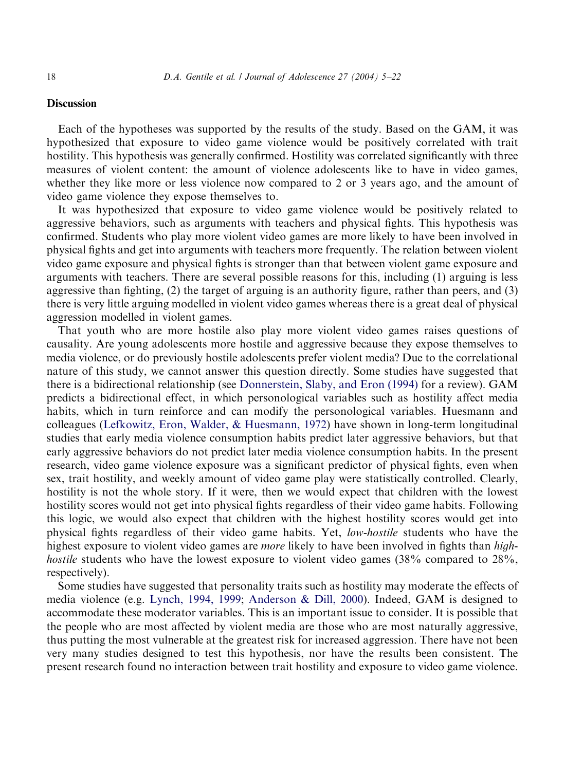### **Discussion**

Each of the hypotheses was supported by the results of the study. Based on the GAM, it was hypothesized that exposure to video game violence would be positively correlated with trait hostility. This hypothesis was generally confirmed. Hostility was correlated significantly with three measures of violent content: the amount of violence adolescents like to have in video games, whether they like more or less violence now compared to 2 or 3 years ago, and the amount of video game violence they expose themselves to.

It was hypothesized that exposure to video game violence would be positively related to aggressive behaviors, such as arguments with teachers and physical fights. This hypothesis was confirmed. Students who play more violent video games are more likely to have been involved in physical fights and get into arguments with teachers more frequently. The relation between violent video game exposure and physical fights is stronger than that between violent game exposure and arguments with teachers. There are several possible reasons for this, including (1) arguing is less aggressive than fighting, (2) the target of arguing is an authority figure, rather than peers, and (3) there is very little arguing modelled in violent video games whereas there is a great deal of physical aggression modelled in violent games.

That youth who are more hostile also play more violent video games raises questions of causality. Are young adolescents more hostile and aggressive because they expose themselves to media violence, or do previously hostile adolescents prefer violent media? Due to the correlational nature of this study, we cannot answer this question directly. Some studies have suggested that there is a bidirectional relationship(see [Donnerstein, Slaby, and Eron \(1994\)](#page-16-0) for a review). GAM predicts a bidirectional effect, in which personological variables such as hostility affect media habits, which in turn reinforce and can modify the personological variables. Huesmann and colleagues [\(Lefkowitz, Eron, Walder, & Huesmann, 1972\)](#page-17-0) have shown in long-term longitudinal studies that early media violence consumption habits predict later aggressive behaviors, but that early aggressive behaviors do not predict later media violence consumption habits. In the present research, video game violence exposure was a significant predictor of physical fights, even when sex, trait hostility, and weekly amount of video game play were statistically controlled. Clearly, hostility is not the whole story. If it were, then we would expect that children with the lowest hostility scores would not get into physical fights regardless of their video game habits. Following this logic, we would also expect that children with the highest hostility scores would get into physical fights regardless of their video game habits. Yet, low-hostile students who have the highest exposure to violent video games are *more* likely to have been involved in fights than *high*hostile students who have the lowest exposure to violent video games (38% compared to 28%, respectively).

Some studies have suggested that personality traits such as hostility may moderate the effects of media violence (e.g. [Lynch, 1994, 1999](#page-17-0); [Anderson & Dill, 2000\)](#page-16-0). Indeed, GAM is designed to accommodate these moderator variables. This is an important issue to consider. It is possible that the people who are most affected by violent media are those who are most naturally aggressive, thus putting the most vulnerable at the greatest risk for increased aggression. There have not been very many studies designed to test this hypothesis, nor have the results been consistent. The present research found no interaction between trait hostility and exposure to video game violence.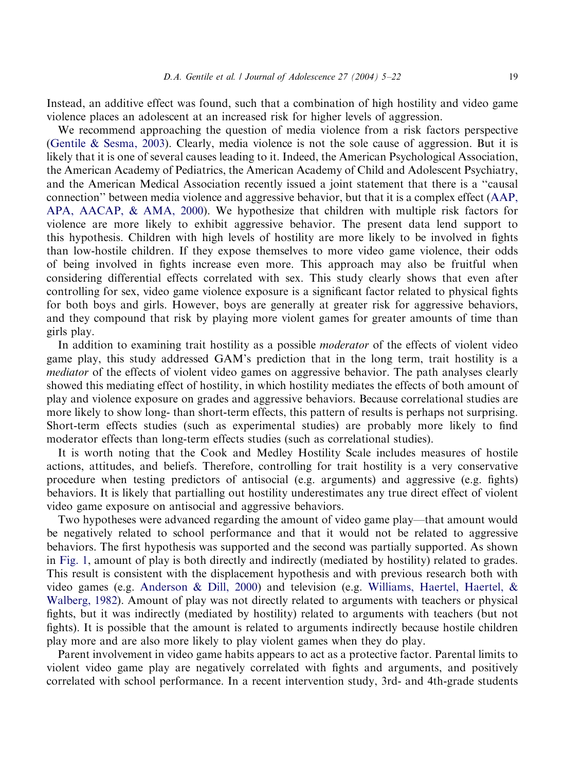Instead, an additive effect was found, such that a combination of high hostility and video game violence places an adolescent at an increased risk for higher levels of aggression.

We recommend approaching the question of media violence from a risk factors perspective [\(Gentile](#page-17-0) & [Sesma, 2003\)](#page-17-0). Clearly, media violence is not the sole cause of aggression. But it is likely that it is one of several causes leading to it. Indeed, the American Psychological Association, the American Academy of Pediatrics, the American Academy of Child and Adolescent Psychiatry, and the American Medical Association recently issued a joint statement that there is a ''causal connection'' between media violence and aggressive behavior, but that it is a complex effect ([AAP,](#page-16-0) [APA, AACAP,](#page-16-0) & [AMA, 2000\)](#page-16-0). We hypothesize that children with multiple risk factors for violence are more likely to exhibit aggressive behavior. The present data lend support to this hypothesis. Children with high levels of hostility are more likely to be involved in fights than low-hostile children. If they expose themselves to more video game violence, their odds of being involved in fights increase even more. This approach may also be fruitful when considering differential effects correlated with sex. This study clearly shows that even after controlling for sex, video game violence exposure is a significant factor related to physical fights for both boys and girls. However, boys are generally at greater risk for aggressive behaviors, and they compound that risk by playing more violent games for greater amounts of time than girls play.

In addition to examining trait hostility as a possible moderator of the effects of violent video game play, this study addressed GAM's prediction that in the long term, trait hostility is a mediator of the effects of violent video games on aggressive behavior. The path analyses clearly showed this mediating effect of hostility, in which hostility mediates the effects of both amount of play and violence exposure on grades and aggressive behaviors. Because correlational studies are more likely to show long- than short-term effects, this pattern of results is perhaps not surprising. Short-term effects studies (such as experimental studies) are probably more likely to find moderator effects than long-term effects studies (such as correlational studies).

It is worth noting that the Cook and Medley Hostility Scale includes measures of hostile actions, attitudes, and beliefs. Therefore, controlling for trait hostility is a very conservative procedure when testing predictors of antisocial (e.g. arguments) and aggressive (e.g. fights) behaviors. It is likely that partialling out hostility underestimates any true direct effect of violent video game exposure on antisocial and aggressive behaviors.

Two hypotheses were advanced regarding the amount of video game play—that amount would be negatively related to school performance and that it would not be related to aggressive behaviors. The first hypothesis was supported and the second was partially supported. As shown in [Fig. 1,](#page-12-0) amount of play is both directly and indirectly (mediated by hostility) related to grades. This result is consistent with the displacement hypothesis and with previous research both with video games (e.g. [Anderson](#page-16-0) & [Dill, 2000](#page-16-0)) and television (e.g. [Williams, Haertel, Haertel, &](#page-17-0) [Walberg, 1982\)](#page-17-0). Amount of play was not directly related to arguments with teachers or physical fights, but it was indirectly (mediated by hostility) related to arguments with teachers (but not fights). It is possible that the amount is related to arguments indirectly because hostile children play more and are also more likely to play violent games when they do play.

Parent involvement in video game habits appears to act as a protective factor. Parental limits to violent video game play are negatively correlated with fights and arguments, and positively correlated with school performance. In a recent intervention study, 3rd- and 4th-grade students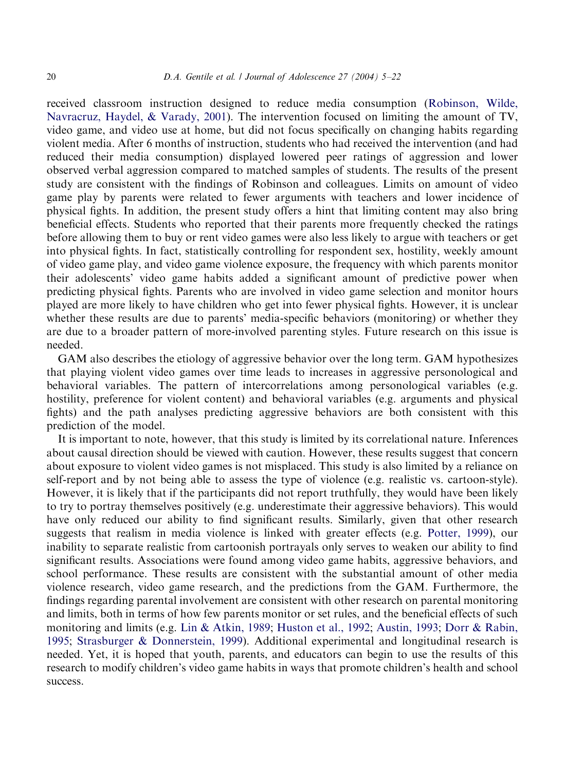received classroom instruction designed to reduce media consumption [\(Robinson, Wilde,](#page-17-0) [Navracruz, Haydel,](#page-17-0) & [Varady, 2001](#page-17-0)). The intervention focused on limiting the amount of TV, video game, and video use at home, but did not focus specifically on changing habits regarding violent media. After 6 months of instruction, students who had received the intervention (and had reduced their media consumption) displayed lowered peer ratings of aggression and lower observed verbal aggression compared to matched samples of students. The results of the present study are consistent with the findings of Robinson and colleagues. Limits on amount of video game play by parents were related to fewer arguments with teachers and lower incidence of physical fights. In addition, the present study offers a hint that limiting content may also bring beneficial effects. Students who reported that their parents more frequently checked the ratings before allowing them to buy or rent video games were also less likely to argue with teachers or get into physical fights. In fact, statistically controlling for respondent sex, hostility, weekly amount of video game play, and video game violence exposure, the frequency with which parents monitor their adolescents' video game habits added a significant amount of predictive power when predicting physical fights. Parents who are involved in video game selection and monitor hours played are more likely to have children who get into fewer physical fights. However, it is unclear whether these results are due to parents' media-specific behaviors (monitoring) or whether they are due to a broader pattern of more-involved parenting styles. Future research on this issue is needed.

GAM also describes the etiology of aggressive behavior over the long term. GAM hypothesizes that playing violent video games over time leads to increases in aggressive personological and behavioral variables. The pattern of intercorrelations among personological variables (e.g. hostility, preference for violent content) and behavioral variables (e.g. arguments and physical fights) and the path analyses predicting aggressive behaviors are both consistent with this prediction of the model.

It is important to note, however, that this study is limited by its correlational nature. Inferences about causal direction should be viewed with caution. However, these results suggest that concern about exposure to violent video games is not misplaced. This study is also limited by a reliance on self-report and by not being able to assess the type of violence (e.g. realistic vs. cartoon-style). However, it is likely that if the participants did not report truthfully, they would have been likely to try to portray themselves positively (e.g. underestimate their aggressive behaviors). This would have only reduced our ability to find significant results. Similarly, given that other research suggests that realism in media violence is linked with greater effects (e.g. [Potter, 1999\)](#page-17-0), our inability to separate realistic from cartoonish portrayals only serves to weaken our ability to find significant results. Associations were found among video game habits, aggressive behaviors, and school performance. These results are consistent with the substantial amount of other media violence research, video game research, and the predictions from the GAM. Furthermore, the findings regarding parental involvement are consistent with other research on parental monitoring and limits, both in terms of how few parents monitor or set rules, and the beneficial effects of such monitoring and limits (e.g. [Lin](#page-17-0) & [Atkin, 1989;](#page-17-0) [Huston et al., 1992](#page-17-0); [Austin, 1993](#page-16-0); [Dorr](#page-16-0) & [Rabin,](#page-16-0) [1995;](#page-16-0) [Strasburger](#page-17-0) & [Donnerstein, 1999\)](#page-17-0). Additional experimental and longitudinal research is needed. Yet, it is hoped that youth, parents, and educators can begin to use the results of this research to modify children's video game habits in ways that promote children's health and school success.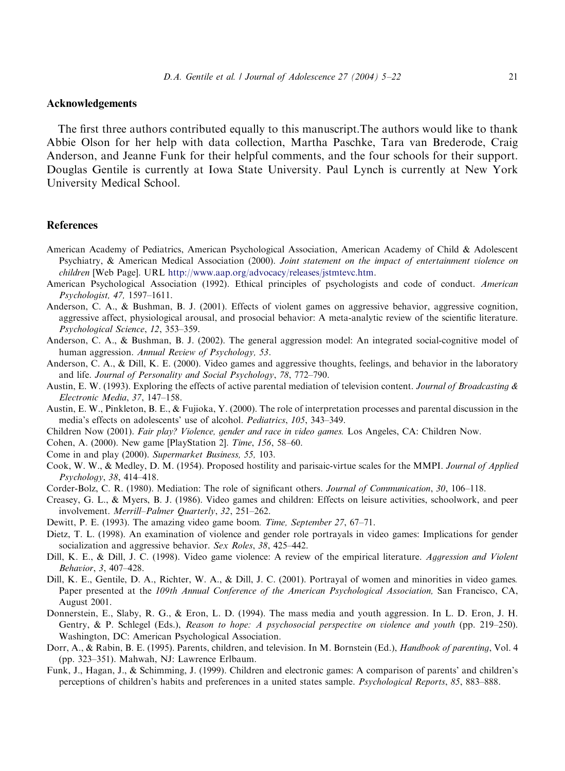#### <span id="page-16-0"></span>Acknowledgements

The first three authors contributed equally to this manuscript.The authors would like to thank Abbie Olson for her helpwith data collection, Martha Paschke, Tara van Brederode, Craig Anderson, and Jeanne Funk for their helpful comments, and the four schools for their support. Douglas Gentile is currently at Iowa State University. Paul Lynch is currently at New York University Medical School.

#### **References**

- American Academy of Pediatrics, American Psychological Association, American Academy of Child & Adolescent Psychiatry, & American Medical Association (2000). Joint statement on the impact of entertainment violence on children [Web Page]. URL <http://www.aap.org/advocacy/releases/jstmtevc.htm>.
- American Psychological Association (1992). Ethical principles of psychologists and code of conduct. American Psychologist, 47, 1597–1611.
- Anderson, C. A., & Bushman, B. J. (2001). Effects of violent games on aggressive behavior, aggressive cognition, aggressive affect, physiological arousal, and prosocial behavior: A meta-analytic review of the scientific literature. Psychological Science, 12, 353–359.
- Anderson, C. A., & Bushman, B. J. (2002). The general aggression model: An integrated social-cognitive model of human aggression. Annual Review of Psychology, 53.
- Anderson, C. A., & Dill, K. E. (2000). Video games and aggressive thoughts, feelings, and behavior in the laboratory and life. Journal of Personality and Social Psychology, 78, 772–790.
- Austin, E. W. (1993). Exploring the effects of active parental mediation of television content. Journal of Broadcasting & Electronic Media, 37, 147–158.
- Austin, E. W., Pinkleton, B. E., & Fujioka, Y. (2000). The role of interpretation processes and parental discussion in the media's effects on adolescents' use of alcohol. Pediatrics, 105, 343–349.
- Children Now (2001). Fair play? Violence, gender and race in video games. Los Angeles, CA: Children Now.
- Cohen, A. (2000). New game [PlayStation 2]. Time, 156, 58–60.
- Come in and play (2000). Supermarket Business, 55, 103.
- Cook, W. W., & Medley, D. M. (1954). Proposed hostility and parisaic-virtue scales for the MMPI. Journal of Applied Psychology, 38, 414–418.
- Corder-Bolz, C. R. (1980). Mediation: The role of significant others. Journal of Communication, 30, 106–118.
- Creasey, G. L., & Myers, B. J. (1986). Video games and children: Effects on leisure activities, schoolwork, and peer involvement. Merrill–Palmer Quarterly, 32, 251–262.
- Dewitt, P. E. (1993). The amazing video game boom. Time, September 27, 67–71.
- Dietz, T. L. (1998). An examination of violence and gender role portrayals in video games: Implications for gender socialization and aggressive behavior. Sex Roles, 38, 425–442.
- Dill, K. E., & Dill, J. C. (1998). Video game violence: A review of the empirical literature. Aggression and Violent Behavior, 3, 407–428.
- Dill, K. E., Gentile, D. A., Richter, W. A., & Dill, J. C. (2001). Portrayal of women and minorities in video games. Paper presented at the 109th Annual Conference of the American Psychological Association, San Francisco, CA, August 2001.
- Donnerstein, E., Slaby, R. G., & Eron, L. D. (1994). The mass media and youth aggression. In L. D. Eron, J. H. Gentry, & P. Schlegel (Eds.), Reason to hope: A psychosocial perspective on violence and youth (pp. 219–250). Washington, DC: American Psychological Association.
- Dorr, A., & Rabin, B. E. (1995). Parents, children, and television. In M. Bornstein (Ed.), *Handbook of parenting*, Vol. 4 (pp. 323–351). Mahwah, NJ: Lawrence Erlbaum.
- Funk, J., Hagan, J., & Schimming, J. (1999). Children and electronic games: A comparison of parents' and children's perceptions of children's habits and preferences in a united states sample. Psychological Reports, 85, 883–888.